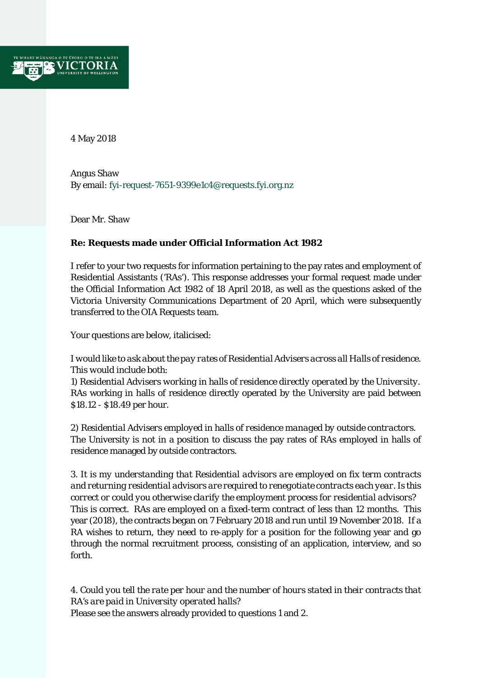

4 May 2018

Angus Shaw By email: fyi-request-7651-9399e1c4@requests.fyi.org.nz

Dear Mr. Shaw

## **Re: Requests made under Official Information Act 1982**

I refer to your two requests for information pertaining to the pay rates and employment of Residential Assistants ('RAs'). This response addresses your formal request made under the Official Information Act 1982 of 18 April 2018, as well as the questions asked of the Victoria University Communications Department of 20 April, which were subsequently transferred to the OIA Requests team.

Your questions are below, italicised:

*I would like to ask about the pay rates of Residential Advisers across all Halls of residence. This would include both:* 

*1) Residential Advisers working in halls of residence directly operated by the University.*  RAs working in halls of residence directly operated by the University are paid between \$18.12 - \$18.49 per hour.

*2) Residential Advisers employed in halls of residence managed by outside contractors.*  The University is not in a position to discuss the pay rates of RAs employed in halls of residence managed by outside contractors.

*3. It is my understanding that Residential advisors are employed on fix term contracts and returning residential advisors are required to renegotiate contracts each year. Is this correct or could you otherwise clarify the employment process for residential advisors?*  This is correct. RAs are employed on a fixed-term contract of less than 12 months. This year (2018), the contracts began on 7 February 2018 and run until 19 November 2018. If a RA wishes to return, they need to re-apply for a position for the following year and go through the normal recruitment process, consisting of an application, interview, and so forth.

*4. Could you tell the rate per hour and the number of hours stated in their contracts that RA's are paid in University operated halls?* 

Please see the answers already provided to questions 1 and 2.